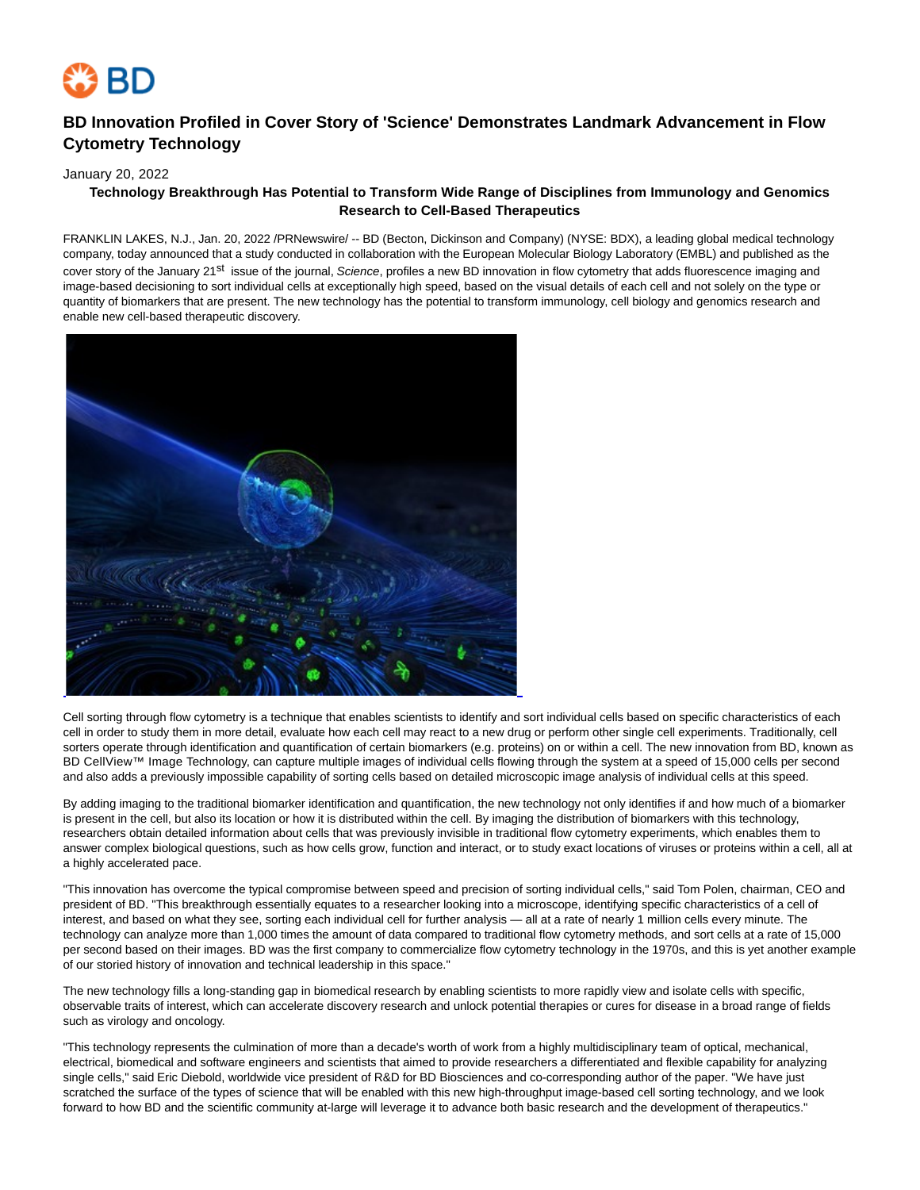

# **BD Innovation Profiled in Cover Story of 'Science' Demonstrates Landmark Advancement in Flow Cytometry Technology**

January 20, 2022

## **Technology Breakthrough Has Potential to Transform Wide Range of Disciplines from Immunology and Genomics Research to Cell-Based Therapeutics**

FRANKLIN LAKES, N.J., Jan. 20, 2022 /PRNewswire/ -- BD (Becton, Dickinson and Company) (NYSE: BDX), a leading global medical technology company, today announced that a study conducted in collaboration with the European Molecular Biology Laboratory (EMBL) and published as the cover story of the January 21<sup>st</sup> issue of the journal, Science, profiles a new BD innovation in flow cytometry that adds fluorescence imaging and image-based decisioning to sort individual cells at exceptionally high speed, based on the visual details of each cell and not solely on the type or quantity of biomarkers that are present. The new technology has the potential to transform immunology, cell biology and genomics research and enable new cell-based therapeutic discovery.



Cell sorting through flow cytometry is a technique that enables scientists to identify and sort individual cells based on specific characteristics of each cell in order to study them in more detail, evaluate how each cell may react to a new drug or perform other single cell experiments. Traditionally, cell sorters operate through identification and quantification of certain biomarkers (e.g. proteins) on or within a cell. The new innovation from BD, known as BD CellView™ Image Technology, can capture multiple images of individual cells flowing through the system at a speed of 15,000 cells per second and also adds a previously impossible capability of sorting cells based on detailed microscopic image analysis of individual cells at this speed.

By adding imaging to the traditional biomarker identification and quantification, the new technology not only identifies if and how much of a biomarker is present in the cell, but also its location or how it is distributed within the cell. By imaging the distribution of biomarkers with this technology, researchers obtain detailed information about cells that was previously invisible in traditional flow cytometry experiments, which enables them to answer complex biological questions, such as how cells grow, function and interact, or to study exact locations of viruses or proteins within a cell, all at a highly accelerated pace.

"This innovation has overcome the typical compromise between speed and precision of sorting individual cells," said Tom Polen, chairman, CEO and president of BD. "This breakthrough essentially equates to a researcher looking into a microscope, identifying specific characteristics of a cell of interest, and based on what they see, sorting each individual cell for further analysis — all at a rate of nearly 1 million cells every minute. The technology can analyze more than 1,000 times the amount of data compared to traditional flow cytometry methods, and sort cells at a rate of 15,000 per second based on their images. BD was the first company to commercialize flow cytometry technology in the 1970s, and this is yet another example of our storied history of innovation and technical leadership in this space."

The new technology fills a long-standing gap in biomedical research by enabling scientists to more rapidly view and isolate cells with specific, observable traits of interest, which can accelerate discovery research and unlock potential therapies or cures for disease in a broad range of fields such as virology and oncology.

"This technology represents the culmination of more than a decade's worth of work from a highly multidisciplinary team of optical, mechanical, electrical, biomedical and software engineers and scientists that aimed to provide researchers a differentiated and flexible capability for analyzing single cells," said Eric Diebold, worldwide vice president of R&D for BD Biosciences and co-corresponding author of the paper. "We have just scratched the surface of the types of science that will be enabled with this new high-throughput image-based cell sorting technology, and we look forward to how BD and the scientific community at-large will leverage it to advance both basic research and the development of therapeutics."